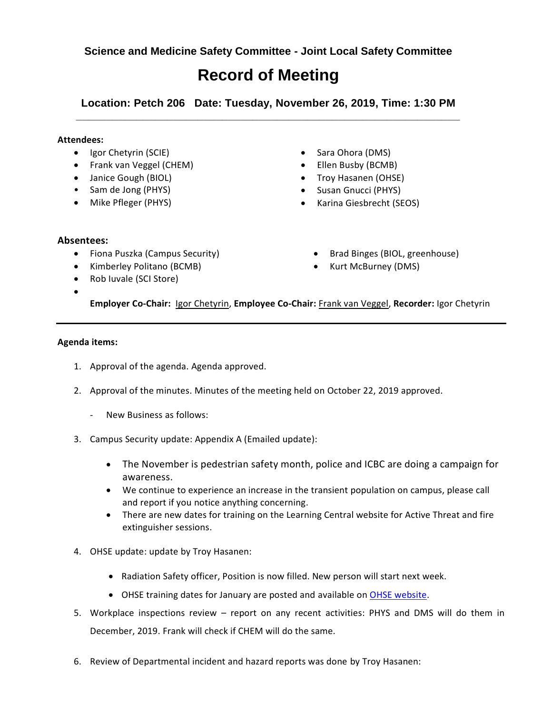**Science and Medicine Safety Committee - Joint Local Safety Committee**

## **Record of Meeting**

**Location: Petch 206 Date: Tuesday, November 26, 2019, Time: 1:30 PM \_\_\_\_\_\_\_\_\_\_\_\_\_\_\_\_\_\_\_\_\_\_\_\_\_\_\_\_\_\_\_\_\_\_\_\_\_\_\_\_\_\_\_\_\_\_\_\_\_\_\_\_\_\_\_\_\_\_\_\_\_\_\_**

## **Attendees:**

- Igor Chetyrin (SCIE)
- Frank van Veggel (CHEM)
- Janice Gough (BIOL)
- Sam de Jong (PHYS)
- Mike Pfleger (PHYS)
- Sara Ohora (DMS)
- Ellen Busby (BCMB)
- Troy Hasanen (OHSE)
- Susan Gnucci (PHYS)
- Karina Giesbrecht (SEOS)

## **Absentees:**

 $\bullet$ 

- Fiona Puszka (Campus Security)
- Kimberley Politano (BCMB)
- Rob Iuvale (SCI Store)
- Brad Binges (BIOL, greenhouse)
- Kurt McBurney (DMS)

**Employer Co-Chair:** Igor Chetyrin, **Employee Co-Chair:** Frank van Veggel, **Recorder:** Igor Chetyrin

## **Agenda items:**

- 1. Approval of the agenda. Agenda approved.
- 2. Approval of the minutes. Minutes of the meeting held on October 22, 2019 approved.
	- New Business as follows:
- 3. Campus Security update: Appendix A (Emailed update):
	- The November is pedestrian safety month, police and ICBC are doing a campaign for awareness.
	- We continue to experience an increase in the transient population on campus, please call and report if you notice anything concerning.
	- There are new dates for training on the Learning Central website for Active Threat and fire extinguisher sessions.
- 4. OHSE update: update by Troy Hasanen:
	- Radiation Safety officer, Position is now filled. New person will start next week.
	- OHSE training dates for January are posted and available on [OHSE website.](https://www.uvic.ca/ohse/training/index.php)
- 5. Workplace inspections review report on any recent activities: PHYS and DMS will do them in December, 2019. Frank will check if CHEM will do the same.
- 6. Review of Departmental incident and hazard reports was done by Troy Hasanen: